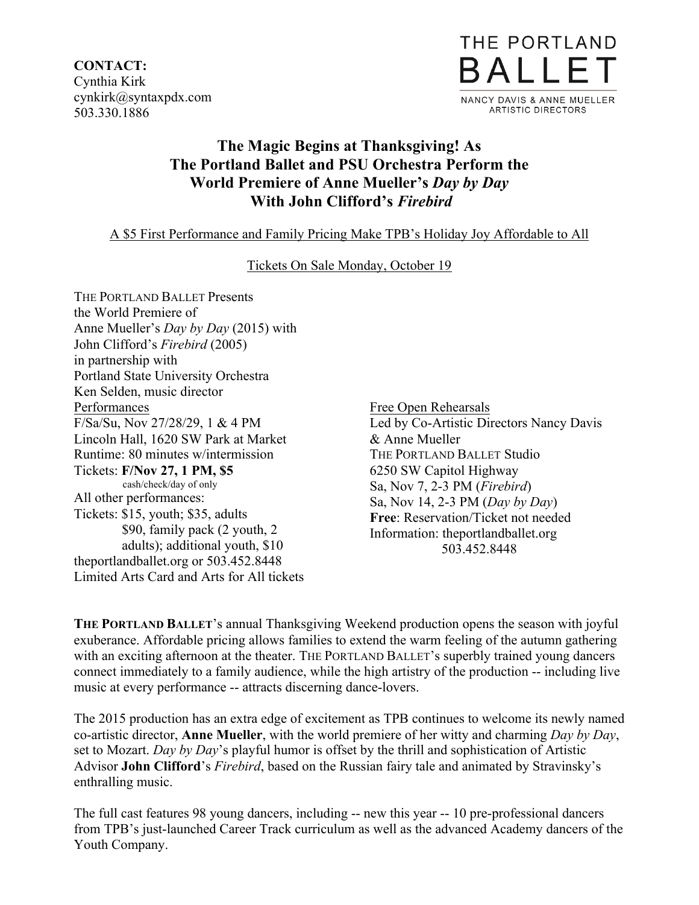**CONTACT:** Cynthia Kirk cynkirk@syntaxpdx.com 503.330.1886



# **The Magic Begins at Thanksgiving! As The Portland Ballet and PSU Orchestra Perform the World Premiere of Anne Mueller's** *Day by Day* **With John Clifford's** *Firebird*

## A \$5 First Performance and Family Pricing Make TPB's Holiday Joy Affordable to All

### Tickets On Sale Monday, October 19

THE PORTLAND BALLET Presents the World Premiere of Anne Mueller's *Day by Day* (2015) with John Clifford's *Firebird* (2005) in partnership with Portland State University Orchestra Ken Selden, music director Performances F/Sa/Su, Nov 27/28/29, 1 & 4 PM Lincoln Hall, 1620 SW Park at Market Runtime: 80 minutes w/intermission Tickets: **F/Nov 27, 1 PM, \$5** cash/check/day of only All other performances: Tickets: \$15, youth; \$35, adults \$90, family pack (2 youth, 2 adults); additional youth, \$10 theportlandballet.org or 503.452.8448 Limited Arts Card and Arts for All tickets

Free Open Rehearsals Led by Co-Artistic Directors Nancy Davis & Anne Mueller THE PORTLAND BALLET Studio 6250 SW Capitol Highway Sa, Nov 7, 2-3 PM (*Firebird*) Sa, Nov 14, 2-3 PM (*Day by Day*) **Free**: Reservation/Ticket not needed Information: theportlandballet.org 503.452.8448

**THE PORTLAND BALLET**'s annual Thanksgiving Weekend production opens the season with joyful exuberance. Affordable pricing allows families to extend the warm feeling of the autumn gathering with an exciting afternoon at the theater. THE PORTLAND BALLET's superbly trained young dancers connect immediately to a family audience, while the high artistry of the production -- including live music at every performance -- attracts discerning dance-lovers.

The 2015 production has an extra edge of excitement as TPB continues to welcome its newly named co-artistic director, **Anne Mueller**, with the world premiere of her witty and charming *Day by Day*, set to Mozart. *Day by Day*'s playful humor is offset by the thrill and sophistication of Artistic Advisor **John Clifford**'s *Firebird*, based on the Russian fairy tale and animated by Stravinsky's enthralling music.

The full cast features 98 young dancers, including -- new this year -- 10 pre-professional dancers from TPB's just-launched Career Track curriculum as well as the advanced Academy dancers of the Youth Company.